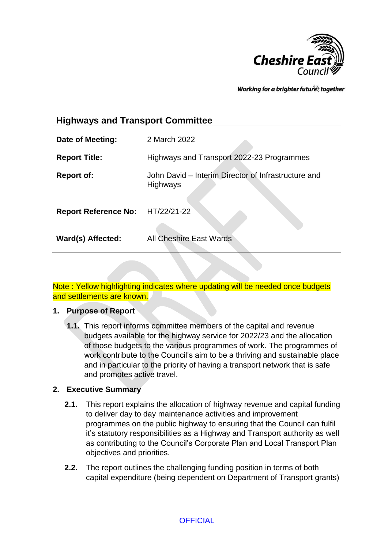

Working for a brighter futures together

# **Highways and Transport Committee**

| Date of Meeting:                 | 2 March 2022                                                           |
|----------------------------------|------------------------------------------------------------------------|
| <b>Report Title:</b>             | Highways and Transport 2022-23 Programmes                              |
| <b>Report of:</b>                | John David - Interim Director of Infrastructure and<br><b>Highways</b> |
| Report Reference No: HT/22/21-22 |                                                                        |
| Ward(s) Affected:                | All Cheshire East Wards                                                |

Note : Yellow highlighting indicates where updating will be needed once budgets and settlements are known.

#### **1. Purpose of Report**

**1.1.** This report informs committee members of the capital and revenue budgets available for the highway service for 2022/23 and the allocation of those budgets to the various programmes of work. The programmes of work contribute to the Council's aim to be a thriving and sustainable place and in particular to the priority of having a transport network that is safe and promotes active travel.

#### **2. Executive Summary**

- **2.1.** This report explains the allocation of highway revenue and capital funding to deliver day to day maintenance activities and improvement programmes on the public highway to ensuring that the Council can fulfil it's statutory responsibilities as a Highway and Transport authority as well as contributing to the Council's Corporate Plan and Local Transport Plan objectives and priorities.
- **2.2.** The report outlines the challenging funding position in terms of both capital expenditure (being dependent on Department of Transport grants)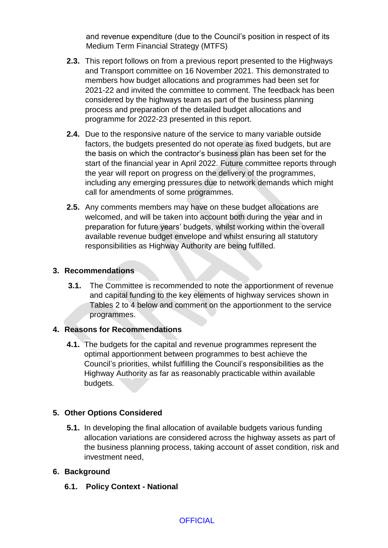and revenue expenditure (due to the Council's position in respect of its Medium Term Financial Strategy (MTFS)

- **2.3.** This report follows on from a previous report presented to the Highways and Transport committee on 16 November 2021. This demonstrated to members how budget allocations and programmes had been set for 2021-22 and invited the committee to comment. The feedback has been considered by the highways team as part of the business planning process and preparation of the detailed budget allocations and programme for 2022-23 presented in this report.
- **2.4.** Due to the responsive nature of the service to many variable outside factors, the budgets presented do not operate as fixed budgets, but are the basis on which the contractor's business plan has been set for the start of the financial year in April 2022. Future committee reports through the year will report on progress on the delivery of the programmes, including any emerging pressures due to network demands which might call for amendments of some programmes.
- **2.5.** Any comments members may have on these budget allocations are welcomed, and will be taken into account both during the year and in preparation for future years' budgets, whilst working within the overall available revenue budget envelope and whilst ensuring all statutory responsibilities as Highway Authority are being fulfilled.

### **3. Recommendations**

**3.1.** The Committee is recommended to note the apportionment of revenue and capital funding to the key elements of highway services shown in Tables 2 to 4 below and comment on the apportionment to the service programmes.

# **4. Reasons for Recommendations**

**4.1.** The budgets for the capital and revenue programmes represent the optimal apportionment between programmes to best achieve the Council's priorities, whilst fulfilling the Council's responsibilities as the Highway Authority as far as reasonably practicable within available budgets.

# **5. Other Options Considered**

**5.1.** In developing the final allocation of available budgets various funding allocation variations are considered across the highway assets as part of the business planning process, taking account of asset condition, risk and investment need,

# **6. Background**

**6.1. Policy Context - National**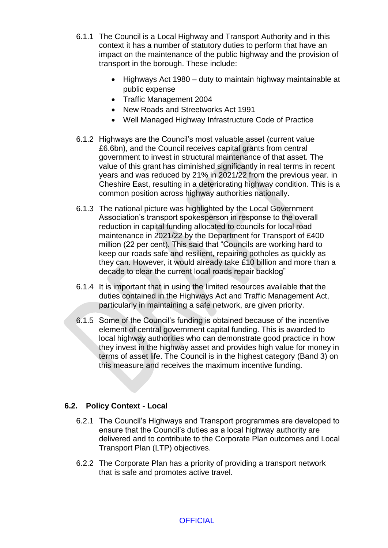- 6.1.1 The Council is a Local Highway and Transport Authority and in this context it has a number of statutory duties to perform that have an impact on the maintenance of the public highway and the provision of transport in the borough. These include:
	- Highways Act 1980 duty to maintain highway maintainable at public expense
	- Traffic Management 2004
	- New Roads and Streetworks Act 1991
	- Well Managed Highway Infrastructure Code of Practice
- 6.1.2 Highways are the Council's most valuable asset (current value £6.6bn), and the Council receives capital grants from central government to invest in structural maintenance of that asset. The value of this grant has diminished significantly in real terms in recent years and was reduced by 21% in 2021/22 from the previous year. in Cheshire East, resulting in a deteriorating highway condition. This is a common position across highway authorities nationally.
- 6.1.3 The national picture was highlighted by the Local Government Association's transport spokesperson in response to the overall reduction in capital funding allocated to councils for local road maintenance in 2021/22 by the Department for Transport of £400 million (22 per cent). This said that "Councils are working hard to keep our roads safe and resilient, repairing potholes as quickly as they can. However, it would already take £10 billion and more than a decade to clear the current local roads repair backlog"
- 6.1.4 It is important that in using the limited resources available that the duties contained in the Highways Act and Traffic Management Act, particularly in maintaining a safe network, are given priority.
- 6.1.5 Some of the Council's funding is obtained because of the incentive element of central government capital funding. This is awarded to local highway authorities who can demonstrate good practice in how they invest in the highway asset and provides high value for money in terms of asset life. The Council is in the highest category (Band 3) on this measure and receives the maximum incentive funding.

# **6.2. Policy Context - Local**

- 6.2.1 The Council's Highways and Transport programmes are developed to ensure that the Council's duties as a local highway authority are delivered and to contribute to the Corporate Plan outcomes and Local Transport Plan (LTP) objectives.
- 6.2.2 The Corporate Plan has a priority of providing a transport network that is safe and promotes active travel.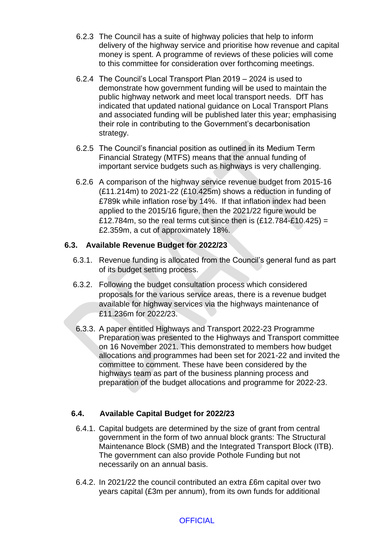- 6.2.3 The Council has a suite of highway policies that help to inform delivery of the highway service and prioritise how revenue and capital money is spent. A programme of reviews of these policies will come to this committee for consideration over forthcoming meetings.
- 6.2.4 The Council's Local Transport Plan 2019 2024 is used to demonstrate how government funding will be used to maintain the public highway network and meet local transport needs. DfT has indicated that updated national guidance on Local Transport Plans and associated funding will be published later this year; emphasising their role in contributing to the Government's decarbonisation strategy.
- 6.2.5 The Council's financial position as outlined in its Medium Term Financial Strategy (MTFS) means that the annual funding of important service budgets such as highways is very challenging.
- 6.2.6 A comparison of the highway service revenue budget from 2015-16 (£11.214m) to 2021-22 (£10.425m) shows a reduction in funding of £789k while inflation rose by 14%. If that inflation index had been applied to the 2015/16 figure, then the 2021/22 figure would be £12.784m, so the real terms cut since then is  $(E12.784-E10.425) =$ £2.359m, a cut of approximately 18%.

# **6.3. Available Revenue Budget for 2022/23**

- 6.3.1. Revenue funding is allocated from the Council's general fund as part of its budget setting process.
- 6.3.2. Following the budget consultation process which considered proposals for the various service areas, there is a revenue budget available for highway services via the highways maintenance of £11.236m for 2022/23.
- 6.3.3. A paper entitled Highways and Transport 2022-23 Programme Preparation was presented to the Highways and Transport committee on 16 November 2021. This demonstrated to members how budget allocations and programmes had been set for 2021-22 and invited the committee to comment. These have been considered by the highways team as part of the business planning process and preparation of the budget allocations and programme for 2022-23.

# **6.4. Available Capital Budget for 2022/23**

- 6.4.1. Capital budgets are determined by the size of grant from central government in the form of two annual block grants: The Structural Maintenance Block (SMB) and the Integrated Transport Block (ITB). The government can also provide Pothole Funding but not necessarily on an annual basis.
- 6.4.2. In 2021/22 the council contributed an extra £6m capital over two years capital (£3m per annum), from its own funds for additional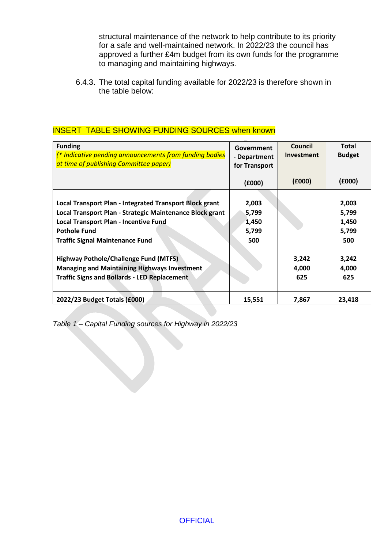structural maintenance of the network to help contribute to its priority for a safe and well-maintained network. In 2022/23 the council has approved a further £4m budget from its own funds for the programme to managing and maintaining highways.

6.4.3. The total capital funding available for 2022/23 is therefore shown in the table below:

| <b>Funding</b><br><sup>*</sup> Indicative pending announcements from funding bodies<br>at time of publishing Committee paper) | Government<br>- Department<br>for Transport | Council<br>Investment | <b>Total</b><br><b>Budget</b> |
|-------------------------------------------------------------------------------------------------------------------------------|---------------------------------------------|-----------------------|-------------------------------|
|                                                                                                                               | (£000)                                      | (£000)                | (6000)                        |
|                                                                                                                               |                                             |                       |                               |
| Local Transport Plan - Integrated Transport Block grant                                                                       | 2,003                                       |                       | 2,003                         |
| Local Transport Plan - Strategic Maintenance Block grant                                                                      | 5,799                                       |                       | 5,799                         |
| <b>Local Transport Plan - Incentive Fund</b>                                                                                  | 1,450                                       |                       | 1,450                         |
| <b>Pothole Fund</b>                                                                                                           | 5,799                                       |                       | 5,799                         |
| <b>Traffic Signal Maintenance Fund</b>                                                                                        | 500                                         |                       | 500                           |
| <b>Highway Pothole/Challenge Fund (MTFS)</b>                                                                                  |                                             | 3,242                 | 3,242                         |
|                                                                                                                               |                                             |                       |                               |
| <b>Managing and Maintaining Highways Investment</b>                                                                           |                                             | 4,000                 | 4,000                         |
| <b>Traffic Signs and Bollards - LED Replacement</b>                                                                           |                                             | 625                   | 625                           |
| 2022/23 Budget Totals (£000)                                                                                                  | 15,551                                      | 7,867                 | 23,418                        |

### INSERT TABLE SHOWING FUNDING SOURCES when known

*Table 1 – Capital Funding sources for Highway in 2022/23*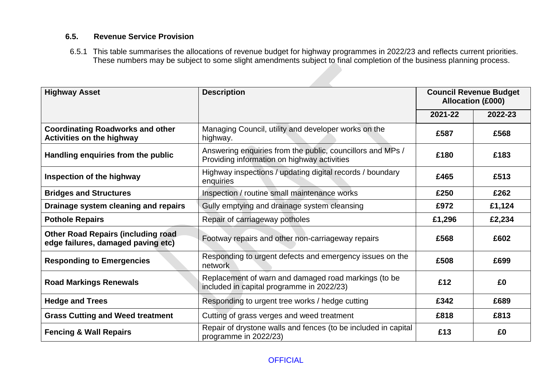# **6.5. Revenue Service Provision**

6.5.1 This table summarises the allocations of revenue budget for highway programmes in 2022/23 and reflects current priorities. These numbers may be subject to some slight amendments subject to final completion of the business planning process.

| <b>Description</b><br><b>Highway Asset</b>                                      |                                                                                                           | <b>Council Revenue Budget</b><br><b>Allocation (£000)</b> |         |
|---------------------------------------------------------------------------------|-----------------------------------------------------------------------------------------------------------|-----------------------------------------------------------|---------|
|                                                                                 |                                                                                                           | 2021-22                                                   | 2022-23 |
| <b>Coordinating Roadworks and other</b><br><b>Activities on the highway</b>     | Managing Council, utility and developer works on the<br>highway.                                          | £587                                                      | £568    |
| Handling enquiries from the public                                              | Answering enquiries from the public, councillors and MPs /<br>Providing information on highway activities | £180                                                      | £183    |
| Inspection of the highway                                                       | Highway inspections / updating digital records / boundary<br>enquiries                                    | £465                                                      | £513    |
| <b>Bridges and Structures</b>                                                   | Inspection / routine small maintenance works                                                              | £250                                                      | £262    |
| Drainage system cleaning and repairs                                            | Gully emptying and drainage system cleansing                                                              | £972                                                      | £1,124  |
| <b>Pothole Repairs</b>                                                          | Repair of carriageway potholes                                                                            | £1,296                                                    | £2,234  |
| <b>Other Road Repairs (including road</b><br>edge failures, damaged paving etc) | Footway repairs and other non-carriageway repairs                                                         |                                                           | £602    |
| <b>Responding to Emergencies</b>                                                | Responding to urgent defects and emergency issues on the<br>network                                       |                                                           | £699    |
| <b>Road Markings Renewals</b>                                                   | Replacement of warn and damaged road markings (to be<br>£12<br>included in capital programme in 2022/23)  |                                                           | £0      |
| <b>Hedge and Trees</b>                                                          | Responding to urgent tree works / hedge cutting                                                           | £342                                                      | £689    |
| <b>Grass Cutting and Weed treatment</b>                                         | Cutting of grass verges and weed treatment                                                                |                                                           | £813    |
| <b>Fencing &amp; Wall Repairs</b>                                               | Repair of drystone walls and fences (to be included in capital<br>programme in 2022/23)                   |                                                           | £0      |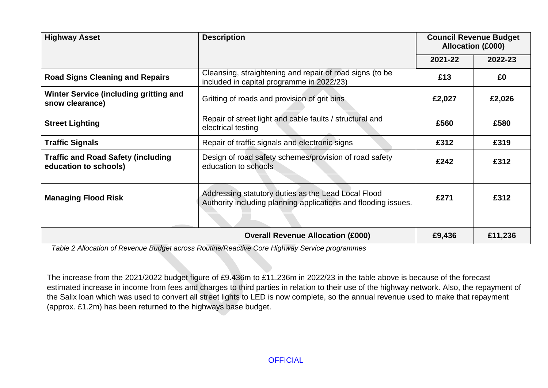| <b>Highway Asset</b>                                                                                                                                | <b>Description</b>                                                                                    | <b>Council Revenue Budget</b><br><b>Allocation (£000)</b> |         |
|-----------------------------------------------------------------------------------------------------------------------------------------------------|-------------------------------------------------------------------------------------------------------|-----------------------------------------------------------|---------|
|                                                                                                                                                     |                                                                                                       | 2021-22                                                   | 2022-23 |
| <b>Road Signs Cleaning and Repairs</b>                                                                                                              | Cleansing, straightening and repair of road signs (to be<br>included in capital programme in 2022/23) | £13                                                       | £0      |
| Winter Service (including gritting and<br>snow clearance)                                                                                           | Gritting of roads and provision of grit bins<br>£2,027                                                |                                                           | £2,026  |
| <b>Street Lighting</b>                                                                                                                              | Repair of street light and cable faults / structural and<br>electrical testing                        | £560                                                      | £580    |
| <b>Traffic Signals</b>                                                                                                                              | Repair of traffic signals and electronic signs                                                        | £312                                                      | £319    |
| <b>Traffic and Road Safety (including</b><br>education to schools)                                                                                  | Design of road safety schemes/provision of road safety<br>education to schools                        | £242                                                      | £312    |
| Addressing statutory duties as the Lead Local Flood<br><b>Managing Flood Risk</b><br>Authority including planning applications and flooding issues. |                                                                                                       | £271                                                      | £312    |
|                                                                                                                                                     |                                                                                                       |                                                           |         |
| <b>Overall Revenue Allocation (£000)</b><br>£9,436                                                                                                  |                                                                                                       |                                                           | £11,236 |

*Table 2 Allocation of Revenue Budget across Routine/Reactive Core Highway Service programmes*

The increase from the 2021/2022 budget figure of £9.436m to £11.236m in 2022/23 in the table above is because of the forecast estimated increase in income from fees and charges to third parties in relation to their use of the highway network. Also, the repayment of the Salix loan which was used to convert all street lights to LED is now complete, so the annual revenue used to make that repayment (approx. £1.2m) has been returned to the highways base budget.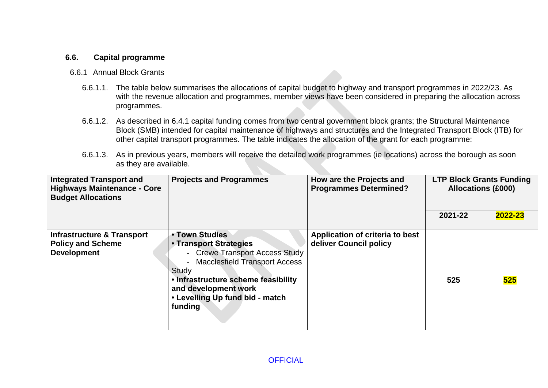### **6.6. Capital programme**

#### 6.6.1 Annual Block Grants

- 6.6.1.1. The table below summarises the allocations of capital budget to highway and transport programmes in 2022/23. As with the revenue allocation and programmes, member views have been considered in preparing the allocation across programmes.
- 6.6.1.2. As described in 6.4.1 capital funding comes from two central government block grants; the Structural Maintenance Block (SMB) intended for capital maintenance of highways and structures and the Integrated Transport Block (ITB) for other capital transport programmes. The table indicates the allocation of the grant for each programme:
- 6.6.1.3. As in previous years, members will receive the detailed work programmes (ie locations) across the borough as soon as they are available.

| <b>Integrated Transport and</b><br><b>Highways Maintenance - Core</b><br><b>Budget Allocations</b> | <b>Projects and Programmes</b>                                                                                                                                                                                                                     | How are the Projects and<br><b>Programmes Determined?</b> | <b>Allocations (£000)</b> | <b>LTP Block Grants Funding</b> |
|----------------------------------------------------------------------------------------------------|----------------------------------------------------------------------------------------------------------------------------------------------------------------------------------------------------------------------------------------------------|-----------------------------------------------------------|---------------------------|---------------------------------|
|                                                                                                    |                                                                                                                                                                                                                                                    |                                                           | 2021-22                   | 2022-23                         |
| <b>Infrastructure &amp; Transport</b><br><b>Policy and Scheme</b><br><b>Development</b>            | • Town Studies<br>• Transport Strategies<br>- Crewe Transport Access Study<br><b>Macclesfield Transport Access</b><br>$\sim$<br>Study<br>. Infrastructure scheme feasibility<br>and development work<br>• Levelling Up fund bid - match<br>funding | Application of criteria to best<br>deliver Council policy | 525                       | 525                             |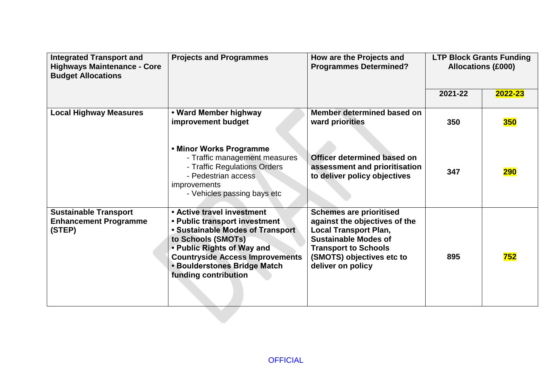| <b>Integrated Transport and</b><br><b>Highways Maintenance - Core</b><br><b>Budget Allocations</b> | <b>Projects and Programmes</b>                                                                                                                                                                                                                               | How are the Projects and<br><b>Programmes Determined?</b>                                                                                                                                                       |         | <b>LTP Block Grants Funding</b><br><b>Allocations (£000)</b> |
|----------------------------------------------------------------------------------------------------|--------------------------------------------------------------------------------------------------------------------------------------------------------------------------------------------------------------------------------------------------------------|-----------------------------------------------------------------------------------------------------------------------------------------------------------------------------------------------------------------|---------|--------------------------------------------------------------|
|                                                                                                    |                                                                                                                                                                                                                                                              |                                                                                                                                                                                                                 | 2021-22 | 2022-23                                                      |
| <b>Local Highway Measures</b>                                                                      | • Ward Member highway<br>improvement budget                                                                                                                                                                                                                  | Member determined based on<br>ward priorities                                                                                                                                                                   | 350     | <b>350</b>                                                   |
|                                                                                                    | • Minor Works Programme<br>- Traffic management measures<br>- Traffic Regulations Orders<br>- Pedestrian access<br><i>improvements</i><br>- Vehicles passing bays etc                                                                                        | Officer determined based on<br>assessment and prioritisation<br>to deliver policy objectives                                                                                                                    | 347     | <b>290</b>                                                   |
| <b>Sustainable Transport</b><br><b>Enhancement Programme</b><br>(STEP)                             | • Active travel investment<br>• Public transport investment<br>• Sustainable Modes of Transport<br>to Schools (SMOTs)<br>. Public Rights of Way and<br><b>Countryside Access Improvements</b><br><b>• Boulderstones Bridge Match</b><br>funding contribution | <b>Schemes are prioritised</b><br>against the objectives of the<br><b>Local Transport Plan,</b><br><b>Sustainable Modes of</b><br><b>Transport to Schools</b><br>(SMOTS) objectives etc to<br>deliver on policy | 895     | 752                                                          |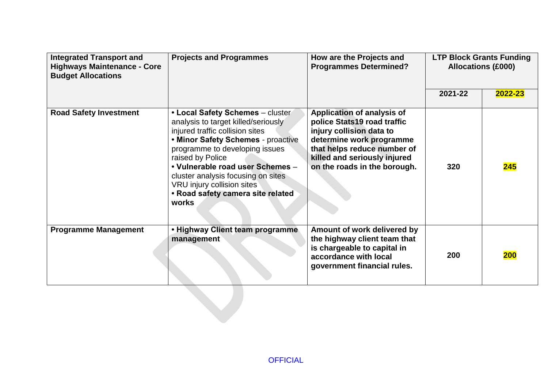| <b>Integrated Transport and</b><br><b>Highways Maintenance - Core</b><br><b>Budget Allocations</b> | <b>Projects and Programmes</b>                                                                                                                                                                                                                                                                                                                               | How are the Projects and<br><b>Programmes Determined?</b>                                                                                                                                                               |         | <b>LTP Block Grants Funding</b><br><b>Allocations (£000)</b> |
|----------------------------------------------------------------------------------------------------|--------------------------------------------------------------------------------------------------------------------------------------------------------------------------------------------------------------------------------------------------------------------------------------------------------------------------------------------------------------|-------------------------------------------------------------------------------------------------------------------------------------------------------------------------------------------------------------------------|---------|--------------------------------------------------------------|
|                                                                                                    |                                                                                                                                                                                                                                                                                                                                                              |                                                                                                                                                                                                                         | 2021-22 | 2022-23                                                      |
| <b>Road Safety Investment</b>                                                                      | • Local Safety Schemes - cluster<br>analysis to target killed/seriously<br>injured traffic collision sites<br>. Minor Safety Schemes - proactive<br>programme to developing issues<br>raised by Police<br>• Vulnerable road user Schemes -<br>cluster analysis focusing on sites<br>VRU injury collision sites<br>• Road safety camera site related<br>works | <b>Application of analysis of</b><br>police Stats19 road traffic<br>injury collision data to<br>determine work programme<br>that helps reduce number of<br>killed and seriously injured<br>on the roads in the borough. | 320     | 245                                                          |
| <b>Programme Management</b>                                                                        | . Highway Client team programme<br>management                                                                                                                                                                                                                                                                                                                | Amount of work delivered by<br>the highway client team that<br>is chargeable to capital in<br>accordance with local<br>government financial rules.                                                                      | 200     | 200                                                          |
|                                                                                                    |                                                                                                                                                                                                                                                                                                                                                              |                                                                                                                                                                                                                         |         |                                                              |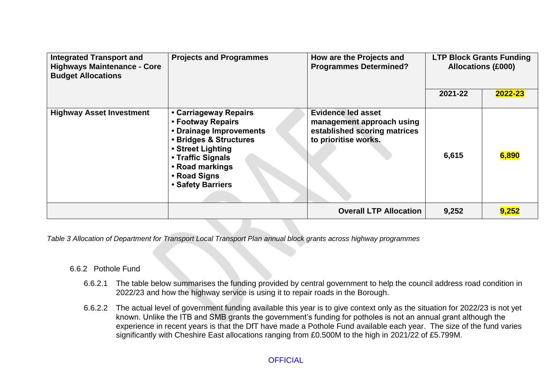| <b>Integrated Transport and</b><br><b>Highways Maintenance - Core</b><br><b>Budget Allocations</b> | <b>Projects and Programmes</b>                                                                                                                                                                    | How are the Projects and<br><b>Programmes Determined?</b>                                                      |         | <b>LTP Block Grants Funding</b><br><b>Allocations (£000)</b> |
|----------------------------------------------------------------------------------------------------|---------------------------------------------------------------------------------------------------------------------------------------------------------------------------------------------------|----------------------------------------------------------------------------------------------------------------|---------|--------------------------------------------------------------|
|                                                                                                    |                                                                                                                                                                                                   |                                                                                                                | 2021-22 | 2022-23                                                      |
| <b>Highway Asset Investment</b>                                                                    | • Carriageway Repairs<br>• Footway Repairs<br>• Drainage Improvements<br>• Bridges & Structures<br>• Street Lighting<br>• Traffic Signals<br>• Road markings<br>• Road Signs<br>• Safety Barriers | <b>Evidence led asset</b><br>management approach using<br>established scoring matrices<br>to prioritise works. | 6,615   | 6,890                                                        |
|                                                                                                    |                                                                                                                                                                                                   | <b>Overall LTP Allocation</b>                                                                                  | 9,252   | 9,252                                                        |

*Table 3 Allocation of Department for Transport Local Transport Plan annual block grants across highway programmes*

#### 6.6.2 Pothole Fund

- 6.6.2.1 The table below summarises the funding provided by central government to help the council address road condition in 2022/23 and how the highway service is using it to repair roads in the Borough.
- 6.6.2.2 The actual level of government funding available this year is to give context only as the situation for 2022/23 is not yet known. Unlike the ITB and SMB grants the government's funding for potholes is not an annual grant although the experience in recent years is that the DfT have made a Pothole Fund available each year. The size of the fund varies significantly with Cheshire East allocations ranging from £0.500M to the high in 2021/22 of £5.799M.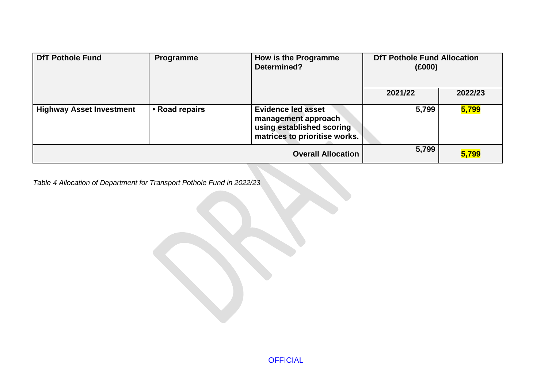| <b>DfT Pothole Fund</b><br>How is the Programme<br>Programme<br>Determined? | <b>DfT Pothole Fund Allocation</b><br>(£000) |                                                                                                                |         |         |
|-----------------------------------------------------------------------------|----------------------------------------------|----------------------------------------------------------------------------------------------------------------|---------|---------|
|                                                                             |                                              |                                                                                                                | 2021/22 | 2022/23 |
| <b>Highway Asset Investment</b>                                             | • Road repairs                               | <b>Evidence led asset</b><br>management approach<br>using established scoring<br>matrices to prioritise works. | 5,799   | 5,799   |
|                                                                             |                                              | <b>Overall Allocation</b>                                                                                      | 5,799   | 5,799   |

*Table 4 Allocation of Department for Transport Pothole Fund in 2022/23*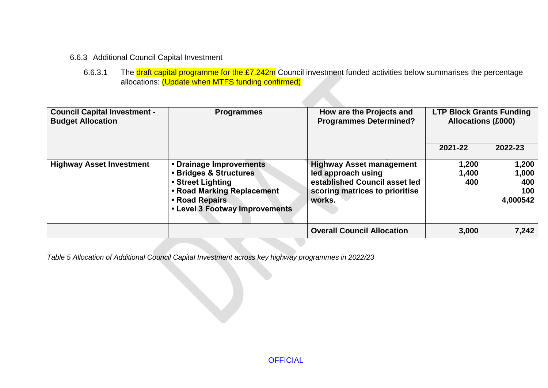### 6.6.3 Additional Council Capital Investment

6.6.3.1 The draft capital programme for the £7.242m Council investment funded activities below summarises the percentage allocations: (Update when MTFS funding confirmed)

| <b>Council Capital Investment -</b><br><b>Budget Allocation</b> | <b>Programmes</b>                                                                                                                                        | How are the Projects and<br><b>Programmes Determined?</b>                                                                          | <b>LTP Block Grants Funding</b><br><b>Allocations (£000)</b> |                                          |
|-----------------------------------------------------------------|----------------------------------------------------------------------------------------------------------------------------------------------------------|------------------------------------------------------------------------------------------------------------------------------------|--------------------------------------------------------------|------------------------------------------|
|                                                                 |                                                                                                                                                          |                                                                                                                                    | 2021-22                                                      | 2022-23                                  |
| <b>Highway Asset Investment</b>                                 | • Drainage Improvements<br>• Bridges & Structures<br>• Street Lighting<br>• Road Marking Replacement<br>• Road Repairs<br>• Level 3 Footway Improvements | <b>Highway Asset management</b><br>led approach using<br>established Council asset led<br>scoring matrices to prioritise<br>works. | 1,200<br>1,400<br>400                                        | 1,200<br>1,000<br>400<br>100<br>4,000542 |
|                                                                 |                                                                                                                                                          | <b>Overall Council Allocation</b>                                                                                                  | 3,000                                                        | 7,242                                    |

*Table 5 Allocation of Additional Council Capital Investment across key highway programmes in 2022/23*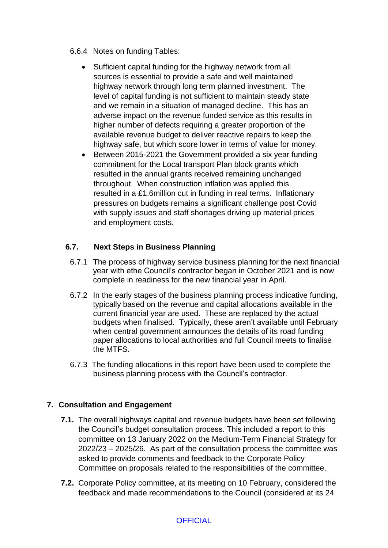- 6.6.4 Notes on funding Tables:
	- Sufficient capital funding for the highway network from all sources is essential to provide a safe and well maintained highway network through long term planned investment. The level of capital funding is not sufficient to maintain steady state and we remain in a situation of managed decline. This has an adverse impact on the revenue funded service as this results in higher number of defects requiring a greater proportion of the available revenue budget to deliver reactive repairs to keep the highway safe, but which score lower in terms of value for money.
	- Between 2015-2021 the Government provided a six year funding commitment for the Local transport Plan block grants which resulted in the annual grants received remaining unchanged throughout. When construction inflation was applied this resulted in a £1.6million cut in funding in real terms. Inflationary pressures on budgets remains a significant challenge post Covid with supply issues and staff shortages driving up material prices and employment costs.

# **6.7. Next Steps in Business Planning**

- 6.7.1 The process of highway service business planning for the next financial year with ethe Council's contractor began in October 2021 and is now complete in readiness for the new financial year in April.
- 6.7.2 In the early stages of the business planning process indicative funding, typically based on the revenue and capital allocations available in the current financial year are used. These are replaced by the actual budgets when finalised. Typically, these aren't available until February when central government announces the details of its road funding paper allocations to local authorities and full Council meets to finalise the MTFS.
- 6.7.3 The funding allocations in this report have been used to complete the business planning process with the Council's contractor.

# **7. Consultation and Engagement**

- **7.1.** The overall highways capital and revenue budgets have been set following the Council's budget consultation process. This included a report to this committee on 13 January 2022 on the Medium-Term Financial Strategy for 2022/23 – 2025/26. As part of the consultation process the committee was asked to provide comments and feedback to the Corporate Policy Committee on proposals related to the responsibilities of the committee.
- **7.2.** Corporate Policy committee, at its meeting on 10 February, considered the feedback and made recommendations to the Council (considered at its 24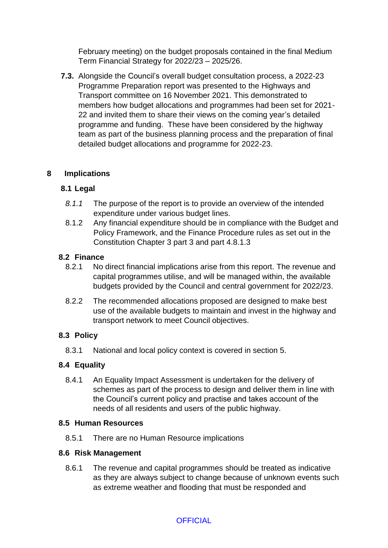February meeting) on the budget proposals contained in the final Medium Term Financial Strategy for 2022/23 – 2025/26.

**7.3.** Alongside the Council's overall budget consultation process, a 2022-23 Programme Preparation report was presented to the Highways and Transport committee on 16 November 2021. This demonstrated to members how budget allocations and programmes had been set for 2021- 22 and invited them to share their views on the coming year's detailed programme and funding. These have been considered by the highway team as part of the business planning process and the preparation of final detailed budget allocations and programme for 2022-23.

#### **8 Implications**

#### **8.1 Legal**

- *8.1.1* The purpose of the report is to provide an overview of the intended expenditure under various budget lines.
- 8.1.2 Any financial expenditure should be in compliance with the Budget and Policy Framework, and the Finance Procedure rules as set out in the Constitution Chapter 3 part 3 and part 4.8.1.3

#### **8.2 Finance**

- 8.2.1 No direct financial implications arise from this report. The revenue and capital programmes utilise, and will be managed within, the available budgets provided by the Council and central government for 2022/23.
- 8.2.2 The recommended allocations proposed are designed to make best use of the available budgets to maintain and invest in the highway and transport network to meet Council objectives.

# **8.3 Policy**

8.3.1 National and local policy context is covered in section 5.

# **8.4 Equality**

8.4.1 An Equality Impact Assessment is undertaken for the delivery of schemes as part of the process to design and deliver them in line with the Council's current policy and practise and takes account of the needs of all residents and users of the public highway.

#### **8.5 Human Resources**

8.5.1 There are no Human Resource implications

#### **8.6 Risk Management**

8.6.1 The revenue and capital programmes should be treated as indicative as they are always subject to change because of unknown events such as extreme weather and flooding that must be responded and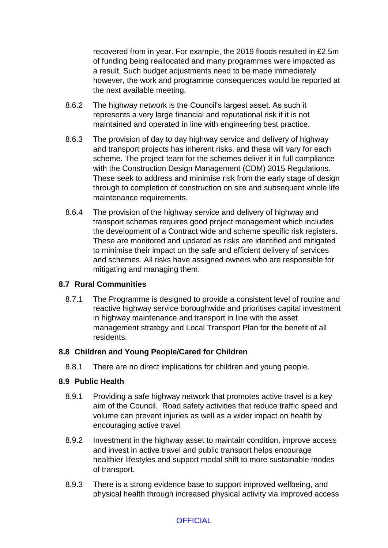recovered from in year. For example, the 2019 floods resulted in £2.5m of funding being reallocated and many programmes were impacted as a result. Such budget adjustments need to be made immediately however, the work and programme consequences would be reported at the next available meeting.

- 8.6.2 The highway network is the Council's largest asset. As such it represents a very large financial and reputational risk if it is not maintained and operated in line with engineering best practice.
- 8.6.3 The provision of day to day highway service and delivery of highway and transport projects has inherent risks, and these will vary for each scheme. The project team for the schemes deliver it in full compliance with the Construction Design Management (CDM) 2015 Regulations. These seek to address and minimise risk from the early stage of design through to completion of construction on site and subsequent whole life maintenance requirements.
- 8.6.4 The provision of the highway service and delivery of highway and transport schemes requires good project management which includes the development of a Contract wide and scheme specific risk registers. These are monitored and updated as risks are identified and mitigated to minimise their impact on the safe and efficient delivery of services and schemes. All risks have assigned owners who are responsible for mitigating and managing them.

#### **8.7 Rural Communities**

8.7.1 The Programme is designed to provide a consistent level of routine and reactive highway service boroughwide and prioritises capital investment in highway maintenance and transport in line with the asset management strategy and Local Transport Plan for the benefit of all residents.

#### **8.8 Children and Young People/Cared for Children**

8.8.1 There are no direct implications for children and young people.

#### **8.9 Public Health**

- 8.9.1 Providing a safe highway network that promotes active travel is a key aim of the Council. Road safety activities that reduce traffic speed and volume can prevent injuries as well as a wider impact on health by encouraging active travel.
- 8.9.2 Investment in the highway asset to maintain condition, improve access and invest in active travel and public transport helps encourage healthier lifestyles and support modal shift to more sustainable modes of transport.
- 8.9.3 There is a strong evidence base to support improved wellbeing, and physical health through increased physical activity via improved access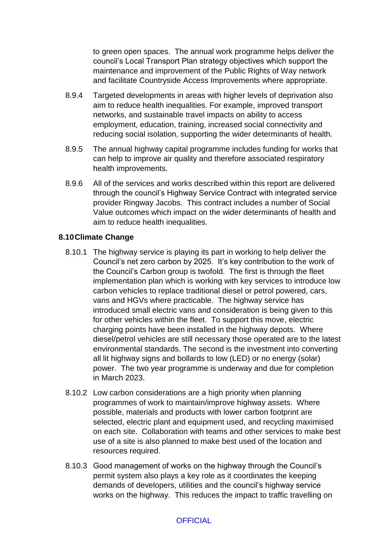to green open spaces. The annual work programme helps deliver the council's Local Transport Plan strategy objectives which support the maintenance and improvement of the Public Rights of Way network and facilitate Countryside Access Improvements where appropriate.

- 8.9.4 Targeted developments in areas with higher levels of deprivation also aim to reduce health inequalities. For example, improved transport networks, and sustainable travel impacts on ability to access employment, education, training, increased social connectivity and reducing social isolation, supporting the wider determinants of health.
- 8.9.5 The annual highway capital programme includes funding for works that can help to improve air quality and therefore associated respiratory health improvements.
- 8.9.6 All of the services and works described within this report are delivered through the council's Highway Service Contract with integrated service provider Ringway Jacobs. This contract includes a number of Social Value outcomes which impact on the wider determinants of health and aim to reduce health inequalities.

#### **8.10Climate Change**

- 8.10.1 The highway service is playing its part in working to help deliver the Council's net zero carbon by 2025. It's key contribution to the work of the Council's Carbon group is twofold. The first is through the fleet implementation plan which is working with key services to introduce low carbon vehicles to replace traditional diesel or petrol powered, cars, vans and HGVs where practicable. The highway service has introduced small electric vans and consideration is being given to this for other vehicles within the fleet. To support this move, electric charging points have been installed in the highway depots. Where diesel/petrol vehicles are still necessary those operated are to the latest environmental standards. The second is the investment into converting all lit highway signs and bollards to low (LED) or no energy (solar) power. The two year programme is underway and due for completion in March 2023.
- 8.10.2 Low carbon considerations are a high priority when planning programmes of work to maintain/improve highway assets. Where possible, materials and products with lower carbon footprint are selected, electric plant and equipment used, and recycling maximised on each site. Collaboration with teams and other services to make best use of a site is also planned to make best used of the location and resources required.
- 8.10.3 Good management of works on the highway through the Council's permit system also plays a key role as it coordinates the keeping demands of developers, utilities and the council's highway service works on the highway. This reduces the impact to traffic travelling on